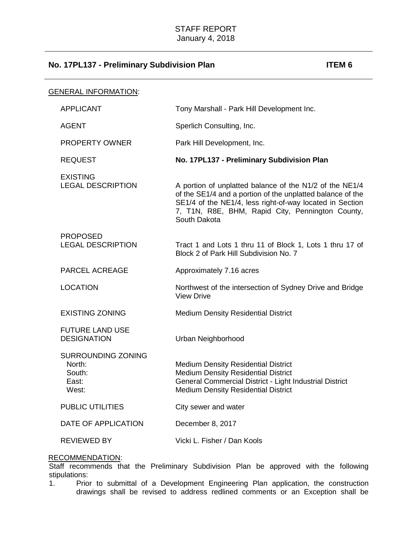| <b>GENERAL INFORMATION:</b>                                     |                                                                                                                                                                                                                                                       |
|-----------------------------------------------------------------|-------------------------------------------------------------------------------------------------------------------------------------------------------------------------------------------------------------------------------------------------------|
| <b>APPLICANT</b>                                                | Tony Marshall - Park Hill Development Inc.                                                                                                                                                                                                            |
| <b>AGENT</b>                                                    | Sperlich Consulting, Inc.                                                                                                                                                                                                                             |
| <b>PROPERTY OWNER</b>                                           | Park Hill Development, Inc.                                                                                                                                                                                                                           |
| <b>REQUEST</b>                                                  | No. 17PL137 - Preliminary Subdivision Plan                                                                                                                                                                                                            |
| <b>EXISTING</b><br><b>LEGAL DESCRIPTION</b>                     | A portion of unplatted balance of the N1/2 of the NE1/4<br>of the SE1/4 and a portion of the unplatted balance of the<br>SE1/4 of the NE1/4, less right-of-way located in Section<br>7, T1N, R8E, BHM, Rapid City, Pennington County,<br>South Dakota |
| <b>PROPOSED</b><br><b>LEGAL DESCRIPTION</b>                     | Tract 1 and Lots 1 thru 11 of Block 1, Lots 1 thru 17 of<br>Block 2 of Park Hill Subdivision No. 7                                                                                                                                                    |
| <b>PARCEL ACREAGE</b>                                           | Approximately 7.16 acres                                                                                                                                                                                                                              |
| <b>LOCATION</b>                                                 | Northwest of the intersection of Sydney Drive and Bridge<br><b>View Drive</b>                                                                                                                                                                         |
| <b>EXISTING ZONING</b>                                          | <b>Medium Density Residential District</b>                                                                                                                                                                                                            |
| <b>FUTURE LAND USE</b><br><b>DESIGNATION</b>                    | Urban Neighborhood                                                                                                                                                                                                                                    |
| <b>SURROUNDING ZONING</b><br>North:<br>South:<br>East:<br>West: | <b>Medium Density Residential District</b><br><b>Medium Density Residential District</b><br>General Commercial District - Light Industrial District<br><b>Medium Density Residential District</b>                                                     |
| <b>PUBLIC UTILITIES</b>                                         | City sewer and water                                                                                                                                                                                                                                  |
| DATE OF APPLICATION                                             | December 8, 2017                                                                                                                                                                                                                                      |
| <b>REVIEWED BY</b>                                              | Vicki L. Fisher / Dan Kools                                                                                                                                                                                                                           |

# RECOMMENDATION:

Staff recommends that the Preliminary Subdivision Plan be approved with the following stipulations:

1. Prior to submittal of a Development Engineering Plan application, the construction drawings shall be revised to address redlined comments or an Exception shall be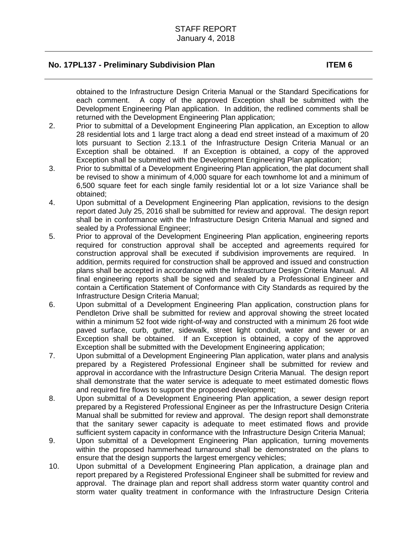obtained to the Infrastructure Design Criteria Manual or the Standard Specifications for each comment. A copy of the approved Exception shall be submitted with the Development Engineering Plan application. In addition, the redlined comments shall be returned with the Development Engineering Plan application;

- 2. Prior to submittal of a Development Engineering Plan application, an Exception to allow 28 residential lots and 1 large tract along a dead end street instead of a maximum of 20 lots pursuant to Section 2.13.1 of the Infrastructure Design Criteria Manual or an Exception shall be obtained. If an Exception is obtained, a copy of the approved Exception shall be submitted with the Development Engineering Plan application;
- 3. Prior to submittal of a Development Engineering Plan application, the plat document shall be revised to show a minimum of 4,000 square for each townhome lot and a minimum of 6,500 square feet for each single family residential lot or a lot size Variance shall be obtained;
- 4. Upon submittal of a Development Engineering Plan application, revisions to the design report dated July 25, 2016 shall be submitted for review and approval. The design report shall be in conformance with the Infrastructure Design Criteria Manual and signed and sealed by a Professional Engineer;
- 5. Prior to approval of the Development Engineering Plan application, engineering reports required for construction approval shall be accepted and agreements required for construction approval shall be executed if subdivision improvements are required. In addition, permits required for construction shall be approved and issued and construction plans shall be accepted in accordance with the Infrastructure Design Criteria Manual. All final engineering reports shall be signed and sealed by a Professional Engineer and contain a Certification Statement of Conformance with City Standards as required by the Infrastructure Design Criteria Manual;
- 6. Upon submittal of a Development Engineering Plan application, construction plans for Pendleton Drive shall be submitted for review and approval showing the street located within a minimum 52 foot wide right-of-way and constructed with a minimum 26 foot wide paved surface, curb, gutter, sidewalk, street light conduit, water and sewer or an Exception shall be obtained. If an Exception is obtained, a copy of the approved Exception shall be submitted with the Development Engineering application;
- 7. Upon submittal of a Development Engineering Plan application, water plans and analysis prepared by a Registered Professional Engineer shall be submitted for review and approval in accordance with the Infrastructure Design Criteria Manual. The design report shall demonstrate that the water service is adequate to meet estimated domestic flows and required fire flows to support the proposed development;
- 8. Upon submittal of a Development Engineering Plan application, a sewer design report prepared by a Registered Professional Engineer as per the Infrastructure Design Criteria Manual shall be submitted for review and approval. The design report shall demonstrate that the sanitary sewer capacity is adequate to meet estimated flows and provide sufficient system capacity in conformance with the Infrastructure Design Criteria Manual;
- 9. Upon submittal of a Development Engineering Plan application, turning movements within the proposed hammerhead turnaround shall be demonstrated on the plans to ensure that the design supports the largest emergency vehicles;
- 10. Upon submittal of a Development Engineering Plan application, a drainage plan and report prepared by a Registered Professional Engineer shall be submitted for review and approval. The drainage plan and report shall address storm water quantity control and storm water quality treatment in conformance with the Infrastructure Design Criteria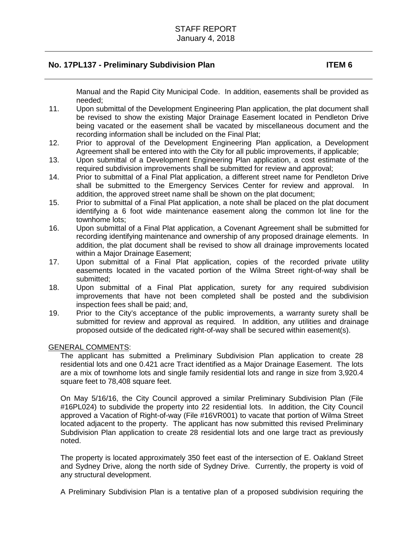Manual and the Rapid City Municipal Code. In addition, easements shall be provided as needed;

- 11. Upon submittal of the Development Engineering Plan application, the plat document shall be revised to show the existing Major Drainage Easement located in Pendleton Drive being vacated or the easement shall be vacated by miscellaneous document and the recording information shall be included on the Final Plat;
- 12. Prior to approval of the Development Engineering Plan application, a Development Agreement shall be entered into with the City for all public improvements, if applicable;
- 13. Upon submittal of a Development Engineering Plan application, a cost estimate of the required subdivision improvements shall be submitted for review and approval;
- 14. Prior to submittal of a Final Plat application, a different street name for Pendleton Drive shall be submitted to the Emergency Services Center for review and approval. In addition, the approved street name shall be shown on the plat document;
- 15. Prior to submittal of a Final Plat application, a note shall be placed on the plat document identifying a 6 foot wide maintenance easement along the common lot line for the townhome lots;
- 16. Upon submittal of a Final Plat application, a Covenant Agreement shall be submitted for recording identifying maintenance and ownership of any proposed drainage elements. In addition, the plat document shall be revised to show all drainage improvements located within a Major Drainage Easement;
- 17. Upon submittal of a Final Plat application, copies of the recorded private utility easements located in the vacated portion of the Wilma Street right-of-way shall be submitted;
- 18. Upon submittal of a Final Plat application, surety for any required subdivision improvements that have not been completed shall be posted and the subdivision inspection fees shall be paid; and,
- 19. Prior to the City's acceptance of the public improvements, a warranty surety shall be submitted for review and approval as required. In addition, any utilities and drainage proposed outside of the dedicated right-of-way shall be secured within easement(s).

#### GENERAL COMMENTS:

The applicant has submitted a Preliminary Subdivision Plan application to create 28 residential lots and one 0.421 acre Tract identified as a Major Drainage Easement. The lots are a mix of townhome lots and single family residential lots and range in size from 3,920.4 square feet to 78,408 square feet.

On May 5/16/16, the City Council approved a similar Preliminary Subdivision Plan (File #16PL024) to subdivide the property into 22 residential lots. In addition, the City Council approved a Vacation of Right-of-way (File #16VR001) to vacate that portion of Wilma Street located adjacent to the property. The applicant has now submitted this revised Preliminary Subdivision Plan application to create 28 residential lots and one large tract as previously noted.

The property is located approximately 350 feet east of the intersection of E. Oakland Street and Sydney Drive, along the north side of Sydney Drive. Currently, the property is void of any structural development.

A Preliminary Subdivision Plan is a tentative plan of a proposed subdivision requiring the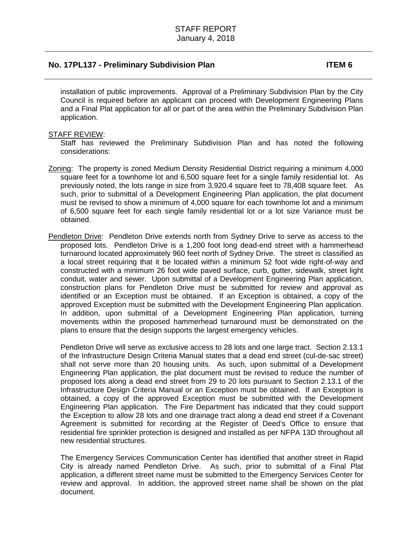installation of public improvements. Approval of a Preliminary Subdivision Plan by the City Council is required before an applicant can proceed with Development Engineering Plans and a Final Plat application for all or part of the area within the Preliminary Subdivision Plan application.

#### STAFF REVIEW:

Staff has reviewed the Preliminary Subdivision Plan and has noted the following considerations:

- Zoning: The property is zoned Medium Density Residential District requiring a minimum 4,000 square feet for a townhome lot and 6,500 square feet for a single family residential lot. As previously noted, the lots range in size from 3,920.4 square feet to 78,408 square feet. As such, prior to submittal of a Development Engineering Plan application, the plat document must be revised to show a minimum of 4,000 square for each townhome lot and a minimum of 6,500 square feet for each single family residential lot or a lot size Variance must be obtained.
- Pendleton Drive: Pendleton Drive extends north from Sydney Drive to serve as access to the proposed lots. Pendleton Drive is a 1,200 foot long dead-end street with a hammerhead turnaround located approximately 960 feet north of Sydney Drive. The street is classified as a local street requiring that it be located within a minimum 52 foot wide right-of-way and constructed with a minimum 26 foot wide paved surface, curb, gutter, sidewalk, street light conduit, water and sewer. Upon submittal of a Development Engineering Plan application, construction plans for Pendleton Drive must be submitted for review and approval as identified or an Exception must be obtained. If an Exception is obtained, a copy of the approved Exception must be submitted with the Development Engineering Plan application. In addition, upon submittal of a Development Engineering Plan application, turning movements within the proposed hammerhead turnaround must be demonstrated on the plans to ensure that the design supports the largest emergency vehicles.

Pendleton Drive will serve as exclusive access to 28 lots and one large tract. Section 2.13.1 of the Infrastructure Design Criteria Manual states that a dead end street (cul-de-sac street) shall not serve more than 20 housing units. As such, upon submittal of a Development Engineering Plan application, the plat document must be revised to reduce the number of proposed lots along a dead end street from 29 to 20 lots pursuant to Section 2.13.1 of the Infrastructure Design Criteria Manual or an Exception must be obtained. If an Exception is obtained, a copy of the approved Exception must be submitted with the Development Engineering Plan application. The Fire Department has indicated that they could support the Exception to allow 28 lots and one drainage tract along a dead end street if a Covenant Agreement is submitted for recording at the Register of Deed's Office to ensure that residential fire sprinkler protection is designed and installed as per NFPA 13D throughout all new residential structures.

The Emergency Services Communication Center has identified that another street in Rapid City is already named Pendleton Drive. As such, prior to submittal of a Final Plat application, a different street name must be submitted to the Emergency Services Center for review and approval. In addition, the approved street name shall be shown on the plat document.